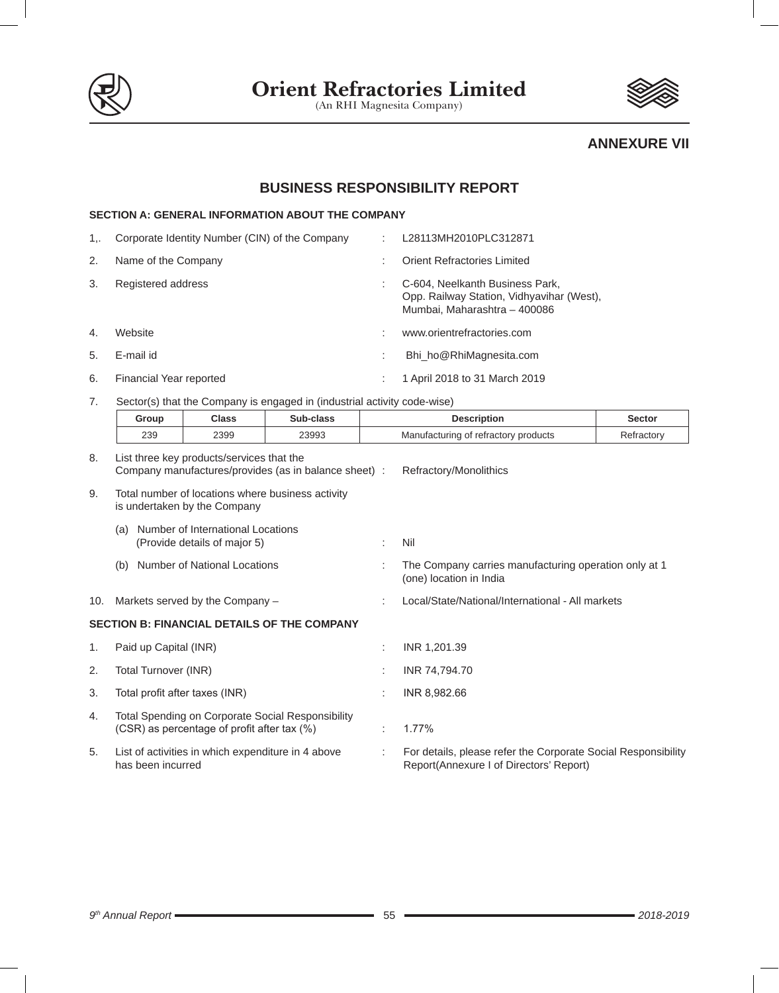

## **ANNEXURE VII**

# **BUSINESS RESPONSIBILITY REPORT**

|    | <b>SECTION A: GENERAL INFORMATION ABOUT THE COMPANY</b> |   |                                                                                                              |  |  |  |
|----|---------------------------------------------------------|---|--------------------------------------------------------------------------------------------------------------|--|--|--|
| 1  | Corporate Identity Number (CIN) of the Company          | ÷ | L28113MH2010PLC312871                                                                                        |  |  |  |
| 2. | Name of the Company                                     |   | Orient Refractories Limited                                                                                  |  |  |  |
| 3. | Registered address                                      |   | C-604, Neelkanth Business Park,<br>Opp. Railway Station, Vidhyavihar (West),<br>Mumbai, Maharashtra - 400086 |  |  |  |
| 4. | Website                                                 |   | www.orientrefractories.com                                                                                   |  |  |  |
| 5. | E-mail id                                               |   | Bhi ho@RhiMagnesita.com                                                                                      |  |  |  |
| 6. | Financial Year reported                                 |   | 1 April 2018 to 31 March 2019                                                                                |  |  |  |

7. Sector(s) that the Company is engaged in (industrial activity code-wise)

|     | Group                                                                                             | <b>Class</b>                                                      | Sub-class                                          |                                      | <b>Description</b>                                                                                       | <b>Sector</b> |  |
|-----|---------------------------------------------------------------------------------------------------|-------------------------------------------------------------------|----------------------------------------------------|--------------------------------------|----------------------------------------------------------------------------------------------------------|---------------|--|
|     | 239                                                                                               | 2399                                                              | 23993                                              | Manufacturing of refractory products |                                                                                                          | Refractory    |  |
| 8.  | List three key products/services that the<br>Company manufactures/provides (as in balance sheet): |                                                                   |                                                    |                                      | Refractory/Monolithics                                                                                   |               |  |
| 9.  | Total number of locations where business activity<br>is undertaken by the Company                 |                                                                   |                                                    |                                      |                                                                                                          |               |  |
|     | (a)                                                                                               | Number of International Locations<br>(Provide details of major 5) |                                                    |                                      | Nil                                                                                                      |               |  |
|     | (b)                                                                                               | <b>Number of National Locations</b>                               |                                                    |                                      | The Company carries manufacturing operation only at 1<br>(one) location in India                         |               |  |
| 10. |                                                                                                   | Markets served by the Company -                                   |                                                    |                                      | Local/State/National/International - All markets                                                         |               |  |
|     |                                                                                                   |                                                                   | <b>SECTION B: FINANCIAL DETAILS OF THE COMPANY</b> |                                      |                                                                                                          |               |  |
| 1.  | Paid up Capital (INR)                                                                             |                                                                   |                                                    |                                      | INR 1,201.39                                                                                             |               |  |
| 2.  | Total Turnover (INR)                                                                              |                                                                   |                                                    |                                      | INR 74,794.70                                                                                            |               |  |
| 3.  | Total profit after taxes (INR)                                                                    |                                                                   |                                                    |                                      | INR 8,982.66                                                                                             |               |  |
| 4.  |                                                                                                   | (CSR) as percentage of profit after tax (%)                       | Total Spending on Corporate Social Responsibility  |                                      | 1.77%                                                                                                    |               |  |
| 5.  | has been incurred                                                                                 | List of activities in which expenditure in 4 above                |                                                    | ÷                                    | For details, please refer the Corporate Social Responsibility<br>Report(Annexure I of Directors' Report) |               |  |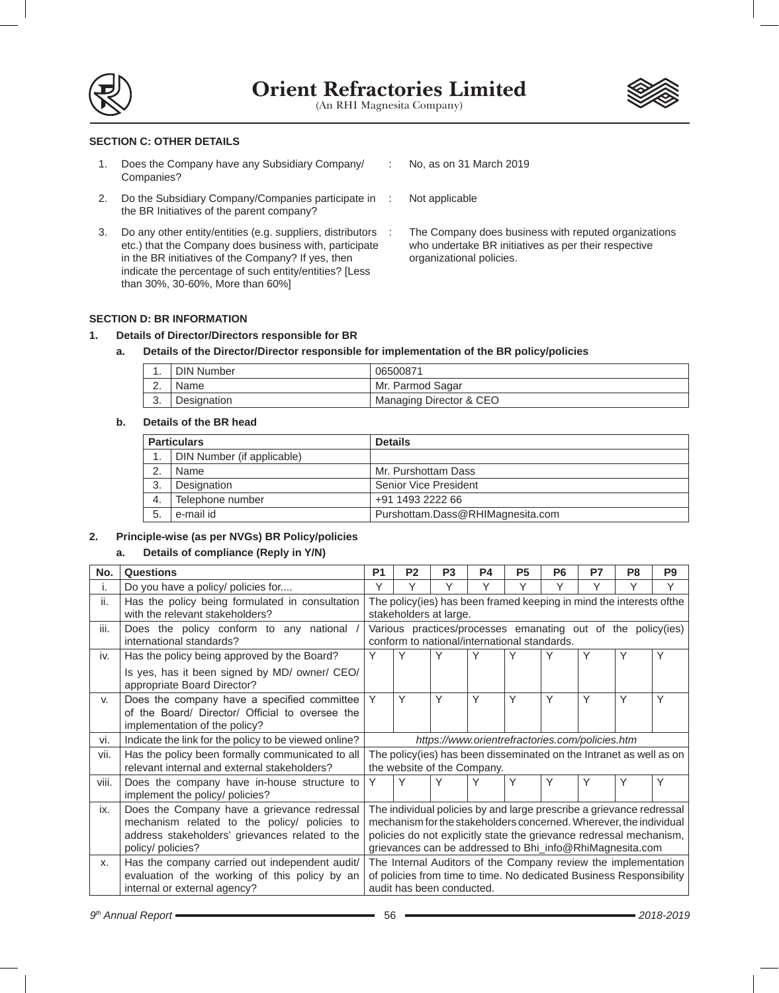



## **SECTION C: OTHER DETAILS**

- 1. Does the Company have any Subsidiary Company/ Companies?
- 2. Do the Subsidiary Company/Companies participate in the BR Initiatives of the parent company?
- 3. Do any other entity/entities (e.g. suppliers, distributors etc.) that the Company does business with, participate in the BR initiatives of the Company? If yes, then indicate the percentage of such entity/entities? [Less than 30%, 30-60%, More than 60%]
- : No, as on 31 March 2019
	- Not applicable
	- The Company does business with reputed organizations who undertake BR initiatives as per their respective organizational policies.

## **SECTION D: BR INFORMATION**

## **1. Details of Director/Directors responsible for BR**

## **a. Details of the Director/Director responsible for implementation of the BR policy/policies**

|          | DIN Number  | 06500871                |
|----------|-------------|-------------------------|
| <u>.</u> | Name        | Mr. Parmod Sagar        |
| v.       | Designation | Managing Director & CEO |

## **b. Details of the BR head**

| <b>Particulars</b> |                            | <b>Details</b>                   |
|--------------------|----------------------------|----------------------------------|
|                    | DIN Number (if applicable) |                                  |
|                    | Name                       | Mr. Purshottam Dass              |
| 3.                 | Designation                | Senior Vice President            |
| 4.                 | Telephone number           | +91 1493 2222 66                 |
| 5                  | e-mail id                  | Purshottam.Dass@RHIMagnesita.com |

## **2. Principle-wise (as per NVGs) BR Policy/policies**

## **a. Details of compliance (Reply in Y/N)**

| No.   | <b>Questions</b>                                                                                                                                                    | <b>P1</b>                                                                                                                                                                                                                                                                     | P <sub>2</sub>                                                                                               | P <sub>3</sub> | <b>P4</b>                                       | P <sub>5</sub> | P <sub>6</sub> | P7 | P <sub>8</sub> | P <sub>9</sub> |
|-------|---------------------------------------------------------------------------------------------------------------------------------------------------------------------|-------------------------------------------------------------------------------------------------------------------------------------------------------------------------------------------------------------------------------------------------------------------------------|--------------------------------------------------------------------------------------------------------------|----------------|-------------------------------------------------|----------------|----------------|----|----------------|----------------|
| ۱.    | Do you have a policy/ policies for                                                                                                                                  | Υ                                                                                                                                                                                                                                                                             | Υ                                                                                                            | Υ              | Υ                                               | Υ              | Υ              | Υ  | Υ              | Υ              |
| ii.   | Has the policy being formulated in consultation<br>with the relevant stakeholders?                                                                                  |                                                                                                                                                                                                                                                                               | The policy(ies) has been framed keeping in mind the interests ofthe<br>stakeholders at large.                |                |                                                 |                |                |    |                |                |
| iii.  | Does the policy conform to any national<br>international standards?                                                                                                 |                                                                                                                                                                                                                                                                               | Various practices/processes emanating out of the policy(ies)<br>conform to national/international standards. |                |                                                 |                |                |    |                |                |
| iv.   | Has the policy being approved by the Board?                                                                                                                         | Y                                                                                                                                                                                                                                                                             | Υ                                                                                                            | Υ              | Υ                                               | Υ              | Υ              | Υ  | Υ              | Υ              |
|       | Is yes, has it been signed by MD/ owner/ CEO/<br>appropriate Board Director?                                                                                        |                                                                                                                                                                                                                                                                               |                                                                                                              |                |                                                 |                |                |    |                |                |
| V.    | Does the company have a specified committee<br>of the Board/ Director/ Official to oversee the<br>implementation of the policy?                                     | Y                                                                                                                                                                                                                                                                             | Υ                                                                                                            | Y              | Υ                                               | Υ              | Y              | Y  | Υ              | Υ              |
| vi.   | Indicate the link for the policy to be viewed online?                                                                                                               |                                                                                                                                                                                                                                                                               |                                                                                                              |                | https://www.orientrefractories.com/policies.htm |                |                |    |                |                |
| vii.  | Has the policy been formally communicated to all<br>relevant internal and external stakeholders?                                                                    | The policy(ies) has been disseminated on the Intranet as well as on<br>the website of the Company.                                                                                                                                                                            |                                                                                                              |                |                                                 |                |                |    |                |                |
| viii. | Does the company have in-house structure to<br>implement the policy/ policies?                                                                                      | Y                                                                                                                                                                                                                                                                             | Υ                                                                                                            | Υ              | Υ                                               | Υ              | Υ              | Υ  | Υ              | Υ              |
| ix.   | Does the Company have a grievance redressal<br>mechanism related to the policy/ policies to<br>address stakeholders' grievances related to the<br>policy/ policies? | The individual policies by and large prescribe a grievance redressal<br>mechanism for the stakeholders concerned. Wherever, the individual<br>policies do not explicitly state the grievance redressal mechanism,<br>grievances can be addressed to Bhi_info@RhiMagnesita.com |                                                                                                              |                |                                                 |                |                |    |                |                |
| X.    | Has the company carried out independent audit/<br>evaluation of the working of this policy by an<br>internal or external agency?                                    | The Internal Auditors of the Company review the implementation<br>of policies from time to time. No dedicated Business Responsibility<br>audit has been conducted.                                                                                                            |                                                                                                              |                |                                                 |                |                |    |                |                |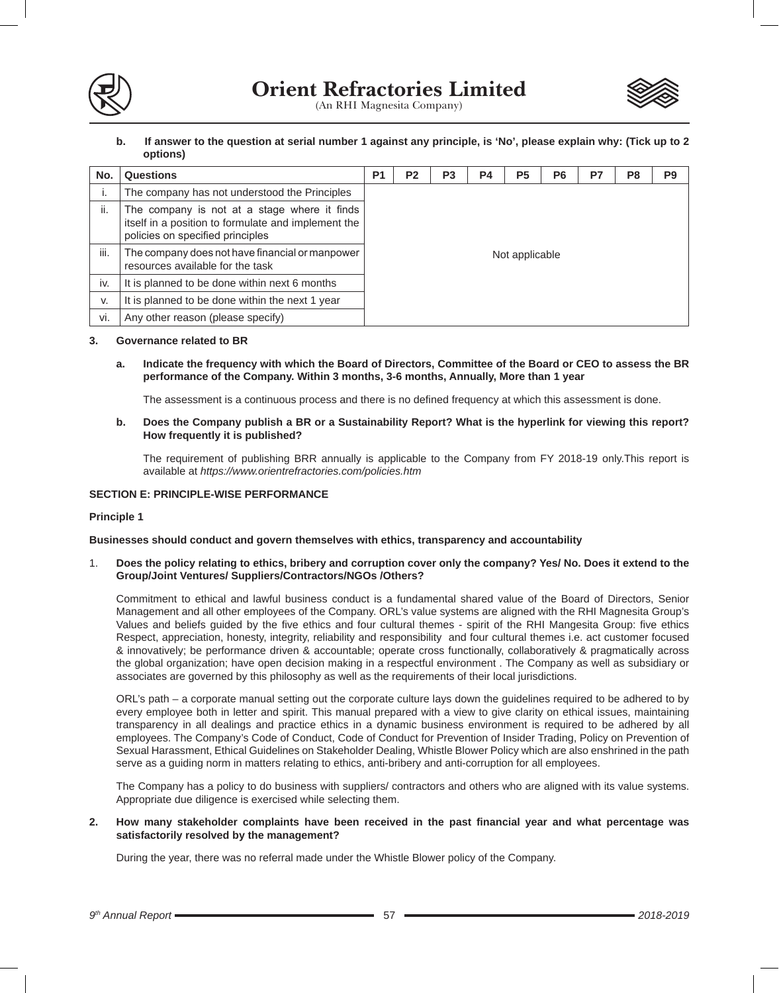

**b. If answer to the question at serial number 1 against any principle, is 'No', please explain why: (Tick up to 2 options)**

| No.  | <b>Questions</b>                                                                                                                        | P <sub>1</sub> | P <sub>2</sub> | P <sub>3</sub> | P4 | P <sub>5</sub> | P <sub>6</sub> | P7 | P <sub>8</sub> | P <sub>9</sub> |
|------|-----------------------------------------------------------------------------------------------------------------------------------------|----------------|----------------|----------------|----|----------------|----------------|----|----------------|----------------|
| Ι.   | The company has not understood the Principles                                                                                           |                |                |                |    |                |                |    |                |                |
| ii.  | The company is not at a stage where it finds<br>itself in a position to formulate and implement the<br>policies on specified principles |                |                |                |    |                |                |    |                |                |
| iii. | The company does not have financial or manpower<br>resources available for the task                                                     | Not applicable |                |                |    |                |                |    |                |                |
| iv.  | It is planned to be done within next 6 months                                                                                           |                |                |                |    |                |                |    |                |                |
| V.   | It is planned to be done within the next 1 year                                                                                         |                |                |                |    |                |                |    |                |                |
| vi.  | Any other reason (please specify)                                                                                                       |                |                |                |    |                |                |    |                |                |

## **3. Governance related to BR**

**a. Indicate the frequency with which the Board of Directors, Committee of the Board or CEO to assess the BR performance of the Company. Within 3 months, 3-6 months, Annually, More than 1 year**

The assessment is a continuous process and there is no defined frequency at which this assessment is done.

**b. Does the Company publish a BR or a Sustainability Report? What is the hyperlink for viewing this report? How frequently it is published?** 

 The requirement of publishing BRR annually is applicable to the Company from FY 2018-19 only.This report is available at *https://www.orientrefractories.com/policies.htm*

## **SECTION E: PRINCIPLE-WISE PERFORMANCE**

## **Principle 1**

#### **Businesses should conduct and govern themselves with ethics, transparency and accountability**

1. **Does the policy relating to ethics, bribery and corruption cover only the company? Yes/ No. Does it extend to the Group/Joint Ventures/ Suppliers/Contractors/NGOs /Others?** 

Commitment to ethical and lawful business conduct is a fundamental shared value of the Board of Directors, Senior Management and all other employees of the Company. ORL's value systems are aligned with the RHI Magnesita Group's Values and beliefs guided by the five ethics and four cultural themes - spirit of the RHI Mangesita Group: five ethics Respect, appreciation, honesty, integrity, reliability and responsibility and four cultural themes i.e. act customer focused & innovatively; be performance driven & accountable; operate cross functionally, collaboratively & pragmatically across the global organization; have open decision making in a respectful environment . The Company as well as subsidiary or associates are governed by this philosophy as well as the requirements of their local jurisdictions.

ORL's path – a corporate manual setting out the corporate culture lays down the guidelines required to be adhered to by every employee both in letter and spirit. This manual prepared with a view to give clarity on ethical issues, maintaining transparency in all dealings and practice ethics in a dynamic business environment is required to be adhered by all employees. The Company's Code of Conduct, Code of Conduct for Prevention of Insider Trading, Policy on Prevention of Sexual Harassment, Ethical Guidelines on Stakeholder Dealing, Whistle Blower Policy which are also enshrined in the path serve as a guiding norm in matters relating to ethics, anti-bribery and anti-corruption for all employees.

The Company has a policy to do business with suppliers/ contractors and others who are aligned with its value systems. Appropriate due diligence is exercised while selecting them.

## **2. How many stakeholder complaints have been received in the past financial year and what percentage was satisfactorily resolved by the management?**

During the year, there was no referral made under the Whistle Blower policy of the Company.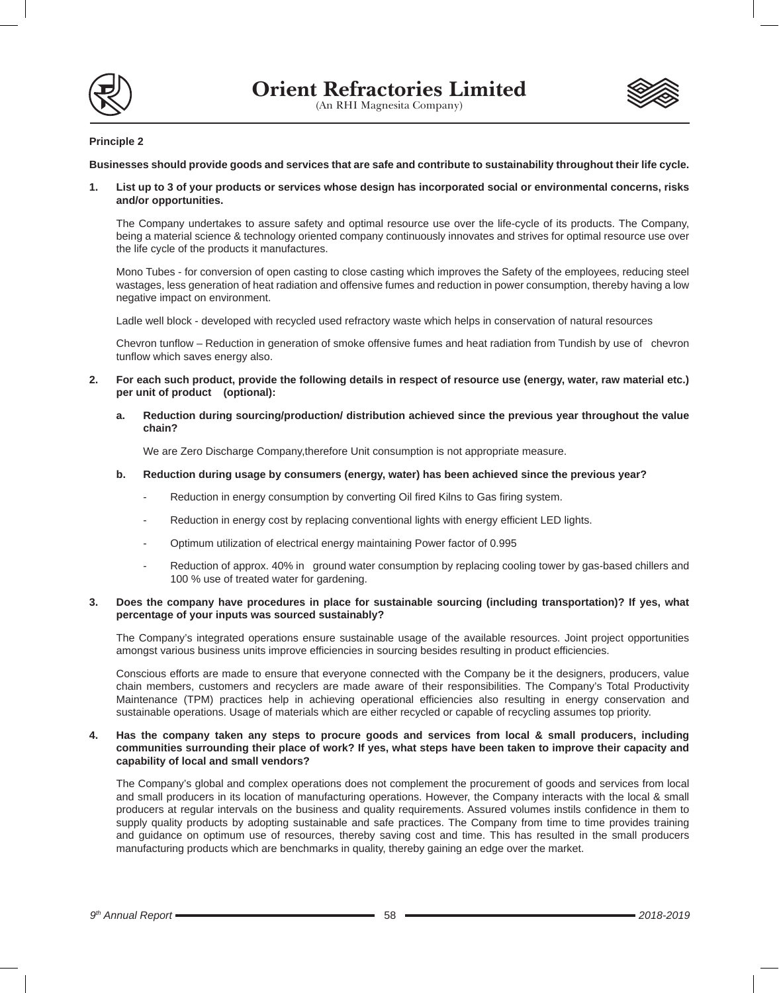



## **Principle 2**

**Businesses should provide goods and services that are safe and contribute to sustainability throughout their life cycle.**

**1. List up to 3 of your products or services whose design has incorporated social or environmental concerns, risks and/or opportunities.** 

The Company undertakes to assure safety and optimal resource use over the life-cycle of its products. The Company, being a material science & technology oriented company continuously innovates and strives for optimal resource use over the life cycle of the products it manufactures.

Mono Tubes - for conversion of open casting to close casting which improves the Safety of the employees, reducing steel wastages, less generation of heat radiation and offensive fumes and reduction in power consumption, thereby having a low negative impact on environment.

Ladle well block - developed with recycled used refractory waste which helps in conservation of natural resources

Chevron tunflow – Reduction in generation of smoke offensive fumes and heat radiation from Tundish by use of chevron tunflow which saves energy also.

- **2. For each such product, provide the following details in respect of resource use (energy, water, raw material etc.) per unit of product (optional):**
	- **a. Reduction during sourcing/production/ distribution achieved since the previous year throughout the value chain?**

We are Zero Discharge Company,therefore Unit consumption is not appropriate measure.

## **b. Reduction during usage by consumers (energy, water) has been achieved since the previous year?**

- Reduction in energy consumption by converting Oil fired Kilns to Gas firing system.
- Reduction in energy cost by replacing conventional lights with energy efficient LED lights.
- Optimum utilization of electrical energy maintaining Power factor of 0.995
- Reduction of approx. 40% in ground water consumption by replacing cooling tower by gas-based chillers and 100 % use of treated water for gardening.

## **3. Does the company have procedures in place for sustainable sourcing (including transportation)? If yes, what percentage of your inputs was sourced sustainably?**

The Company's integrated operations ensure sustainable usage of the available resources. Joint project opportunities amongst various business units improve efficiencies in sourcing besides resulting in product efficiencies.

Conscious efforts are made to ensure that everyone connected with the Company be it the designers, producers, value chain members, customers and recyclers are made aware of their responsibilities. The Company's Total Productivity Maintenance (TPM) practices help in achieving operational efficiencies also resulting in energy conservation and sustainable operations. Usage of materials which are either recycled or capable of recycling assumes top priority.

## **4. Has the company taken any steps to procure goods and services from local & small producers, including communities surrounding their place of work? If yes, what steps have been taken to improve their capacity and capability of local and small vendors?**

The Company's global and complex operations does not complement the procurement of goods and services from local and small producers in its location of manufacturing operations. However, the Company interacts with the local & small producers at regular intervals on the business and quality requirements. Assured volumes instils confidence in them to supply quality products by adopting sustainable and safe practices. The Company from time to time provides training and guidance on optimum use of resources, thereby saving cost and time. This has resulted in the small producers manufacturing products which are benchmarks in quality, thereby gaining an edge over the market.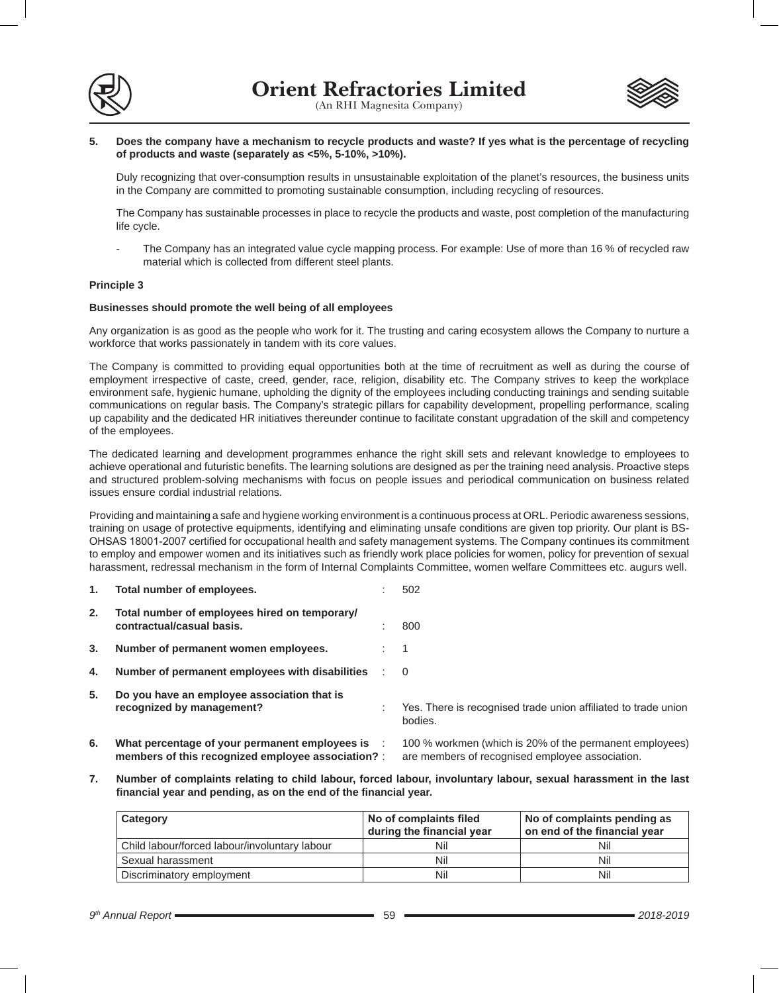



## **5. Does the company have a mechanism to recycle products and waste? If yes what is the percentage of recycling of products and waste (separately as <5%, 5-10%, >10%).**

Duly recognizing that over-consumption results in unsustainable exploitation of the planet's resources, the business units in the Company are committed to promoting sustainable consumption, including recycling of resources.

The Company has sustainable processes in place to recycle the products and waste, post completion of the manufacturing life cycle.

The Company has an integrated value cycle mapping process. For example: Use of more than 16 % of recycled raw material which is collected from different steel plants.

## **Principle 3**

## **Businesses should promote the well being of all employees**

Any organization is as good as the people who work for it. The trusting and caring ecosystem allows the Company to nurture a workforce that works passionately in tandem with its core values.

The Company is committed to providing equal opportunities both at the time of recruitment as well as during the course of employment irrespective of caste, creed, gender, race, religion, disability etc. The Company strives to keep the workplace environment safe, hygienic humane, upholding the dignity of the employees including conducting trainings and sending suitable communications on regular basis. The Company's strategic pillars for capability development, propelling performance, scaling up capability and the dedicated HR initiatives thereunder continue to facilitate constant upgradation of the skill and competency of the employees.

The dedicated learning and development programmes enhance the right skill sets and relevant knowledge to employees to achieve operational and futuristic benefits. The learning solutions are designed as per the training need analysis. Proactive steps and structured problem-solving mechanisms with focus on people issues and periodical communication on business related issues ensure cordial industrial relations.

Providing and maintaining a safe and hygiene working environment is a continuous process at ORL. Periodic awareness sessions, training on usage of protective equipments, identifying and eliminating unsafe conditions are given top priority. Our plant is BS-OHSAS 18001-2007 certified for occupational health and safety management systems. The Company continues its commitment to employ and empower women and its initiatives such as friendly work place policies for women, policy for prevention of sexual harassment, redressal mechanism in the form of Internal Complaints Committee, women welfare Committees etc. augurs well.

| 1. | Total number of employees.                                                                           | 502                                                                                                        |
|----|------------------------------------------------------------------------------------------------------|------------------------------------------------------------------------------------------------------------|
| 2. | Total number of employees hired on temporary/<br>contractual/casual basis.                           | 800                                                                                                        |
| 3. | Number of permanent women employees.                                                                 | -1                                                                                                         |
| 4. | Number of permanent employees with disabilities                                                      | 0                                                                                                          |
| 5. | Do you have an employee association that is<br>recognized by management?                             | Yes. There is recognised trade union affiliated to trade union<br>bodies.                                  |
| 6. | What percentage of your permanent employees is<br>members of this recognized employee association? : | 100 % workmen (which is 20% of the permanent employees)<br>are members of recognised employee association. |

**7. Number of complaints relating to child labour, forced labour, involuntary labour, sexual harassment in the last financial year and pending, as on the end of the financial year.**

| Category                                      | No of complaints filed<br>during the financial year | No of complaints pending as<br>on end of the financial year |
|-----------------------------------------------|-----------------------------------------------------|-------------------------------------------------------------|
| Child labour/forced labour/involuntary labour | Nil                                                 | Nil                                                         |
| Sexual harassment                             | Nil                                                 | Nil                                                         |
| Discriminatory employment                     | Nil                                                 | Nil                                                         |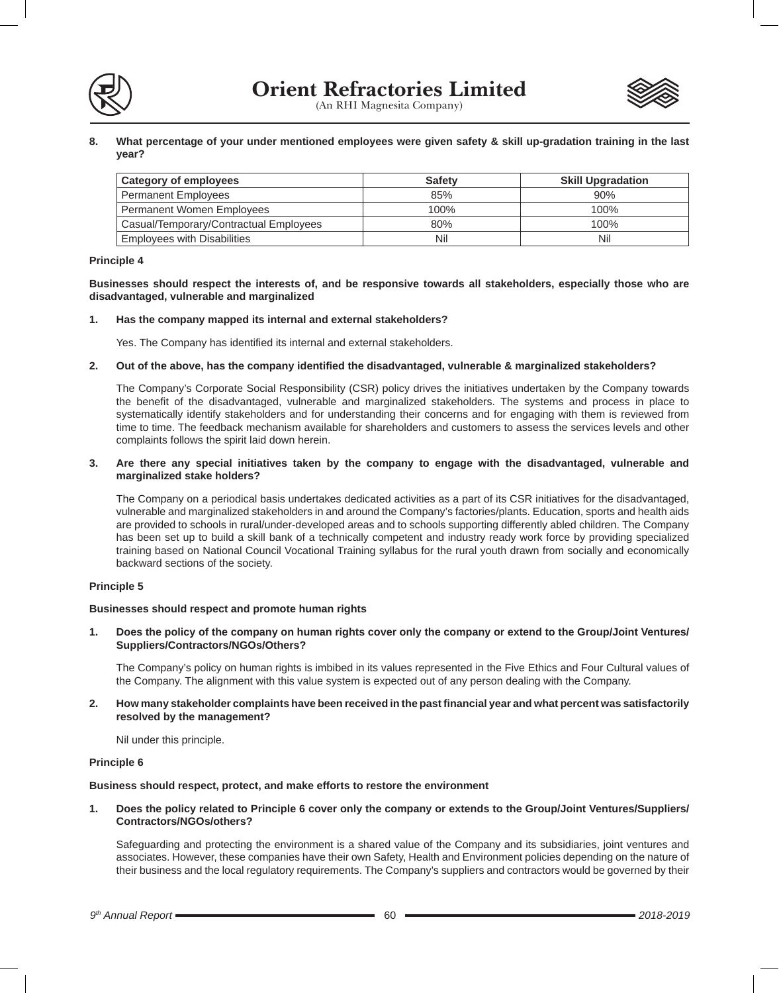



**8. What percentage of your under mentioned employees were given safety & skill up-gradation training in the last year?** 

| <b>Category of employees</b>           | <b>Safety</b> | <b>Skill Upgradation</b> |
|----------------------------------------|---------------|--------------------------|
| <b>Permanent Employees</b>             | 85%           | 90%                      |
| Permanent Women Employees              | 100%          | 100%                     |
| Casual/Temporary/Contractual Employees | 80%           | 100%                     |
| <b>Employees with Disabilities</b>     | Nil           | Nil                      |

## **Principle 4**

**Businesses should respect the interests of, and be responsive towards all stakeholders, especially those who are disadvantaged, vulnerable and marginalized**

## **1. Has the company mapped its internal and external stakeholders?**

Yes. The Company has identified its internal and external stakeholders.

## **2. Out of the above, has the company identified the disadvantaged, vulnerable & marginalized stakeholders?**

The Company's Corporate Social Responsibility (CSR) policy drives the initiatives undertaken by the Company towards the benefit of the disadvantaged, vulnerable and marginalized stakeholders. The systems and process in place to systematically identify stakeholders and for understanding their concerns and for engaging with them is reviewed from time to time. The feedback mechanism available for shareholders and customers to assess the services levels and other complaints follows the spirit laid down herein.

## **3. Are there any special initiatives taken by the company to engage with the disadvantaged, vulnerable and marginalized stake holders?**

The Company on a periodical basis undertakes dedicated activities as a part of its CSR initiatives for the disadvantaged, vulnerable and marginalized stakeholders in and around the Company's factories/plants. Education, sports and health aids are provided to schools in rural/under-developed areas and to schools supporting differently abled children. The Company has been set up to build a skill bank of a technically competent and industry ready work force by providing specialized training based on National Council Vocational Training syllabus for the rural youth drawn from socially and economically backward sections of the society.

## **Principle 5**

## **Businesses should respect and promote human rights**

**1. Does the policy of the company on human rights cover only the company or extend to the Group/Joint Ventures/ Suppliers/Contractors/NGOs/Others?** 

The Company's policy on human rights is imbibed in its values represented in the Five Ethics and Four Cultural values of the Company. The alignment with this value system is expected out of any person dealing with the Company.

## **2. How many stakeholder complaints have been received in the past financial year and what percent was satisfactorily resolved by the management?**

Nil under this principle.

## **Principle 6**

#### **Business should respect, protect, and make efforts to restore the environment**

**1. Does the policy related to Principle 6 cover only the company or extends to the Group/Joint Ventures/Suppliers/ Contractors/NGOs/others?** 

Safeguarding and protecting the environment is a shared value of the Company and its subsidiaries, joint ventures and associates. However, these companies have their own Safety, Health and Environment policies depending on the nature of their business and the local regulatory requirements. The Company's suppliers and contractors would be governed by their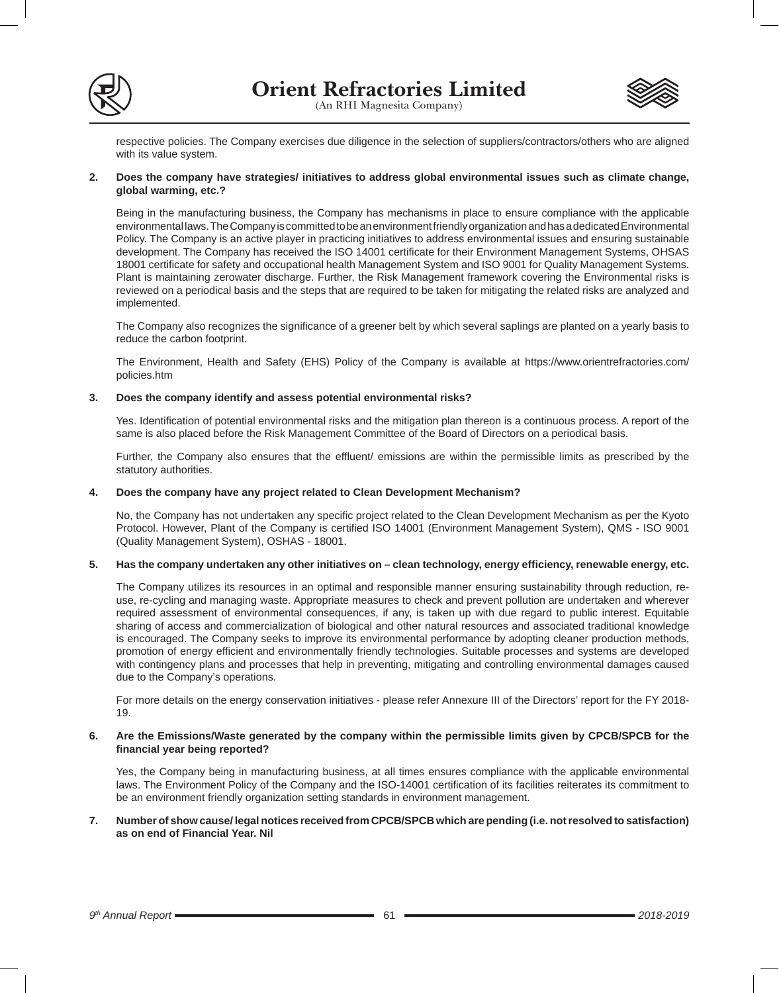



respective policies. The Company exercises due diligence in the selection of suppliers/contractors/others who are aligned with its value system.

## **2. Does the company have strategies/ initiatives to address global environmental issues such as climate change, global warming, etc.?**

Being in the manufacturing business, the Company has mechanisms in place to ensure compliance with the applicable environmental laws. The Company is committed to be an environment friendly organization and has a dedicated Environmental Policy. The Company is an active player in practicing initiatives to address environmental issues and ensuring sustainable development. The Company has received the ISO 14001 certificate for their Environment Management Systems, OHSAS 18001 certificate for safety and occupational health Management System and ISO 9001 for Quality Management Systems. Plant is maintaining zerowater discharge. Further, the Risk Management framework covering the Environmental risks is reviewed on a periodical basis and the steps that are required to be taken for mitigating the related risks are analyzed and implemented.

The Company also recognizes the significance of a greener belt by which several saplings are planted on a yearly basis to reduce the carbon footprint.

The Environment, Health and Safety (EHS) Policy of the Company is available at https://www.orientrefractories.com/ policies.htm

## **3. Does the company identify and assess potential environmental risks?**

Yes. Identification of potential environmental risks and the mitigation plan thereon is a continuous process. A report of the same is also placed before the Risk Management Committee of the Board of Directors on a periodical basis.

Further, the Company also ensures that the effluent/ emissions are within the permissible limits as prescribed by the statutory authorities.

## **4. Does the company have any project related to Clean Development Mechanism?**

No, the Company has not undertaken any specific project related to the Clean Development Mechanism as per the Kyoto Protocol. However, Plant of the Company is certified ISO 14001 (Environment Management System), QMS - ISO 9001 (Quality Management System), OSHAS - 18001.

## **5. Has the company undertaken any other initiatives on – clean technology, energy efficiency, renewable energy, etc.**

The Company utilizes its resources in an optimal and responsible manner ensuring sustainability through reduction, reuse, re-cycling and managing waste. Appropriate measures to check and prevent pollution are undertaken and wherever required assessment of environmental consequences, if any, is taken up with due regard to public interest. Equitable sharing of access and commercialization of biological and other natural resources and associated traditional knowledge is encouraged. The Company seeks to improve its environmental performance by adopting cleaner production methods, promotion of energy efficient and environmentally friendly technologies. Suitable processes and systems are developed with contingency plans and processes that help in preventing, mitigating and controlling environmental damages caused due to the Company's operations.

For more details on the energy conservation initiatives - please refer Annexure III of the Directors' report for the FY 2018- 19.

#### **6. Are the Emissions/Waste generated by the company within the permissible limits given by CPCB/SPCB for the financial year being reported?**

Yes, the Company being in manufacturing business, at all times ensures compliance with the applicable environmental laws. The Environment Policy of the Company and the ISO-14001 certification of its facilities reiterates its commitment to be an environment friendly organization setting standards in environment management.

## **7. Number of show cause/ legal notices received from CPCB/SPCB which are pending (i.e. not resolved to satisfaction) as on end of Financial Year. Nil**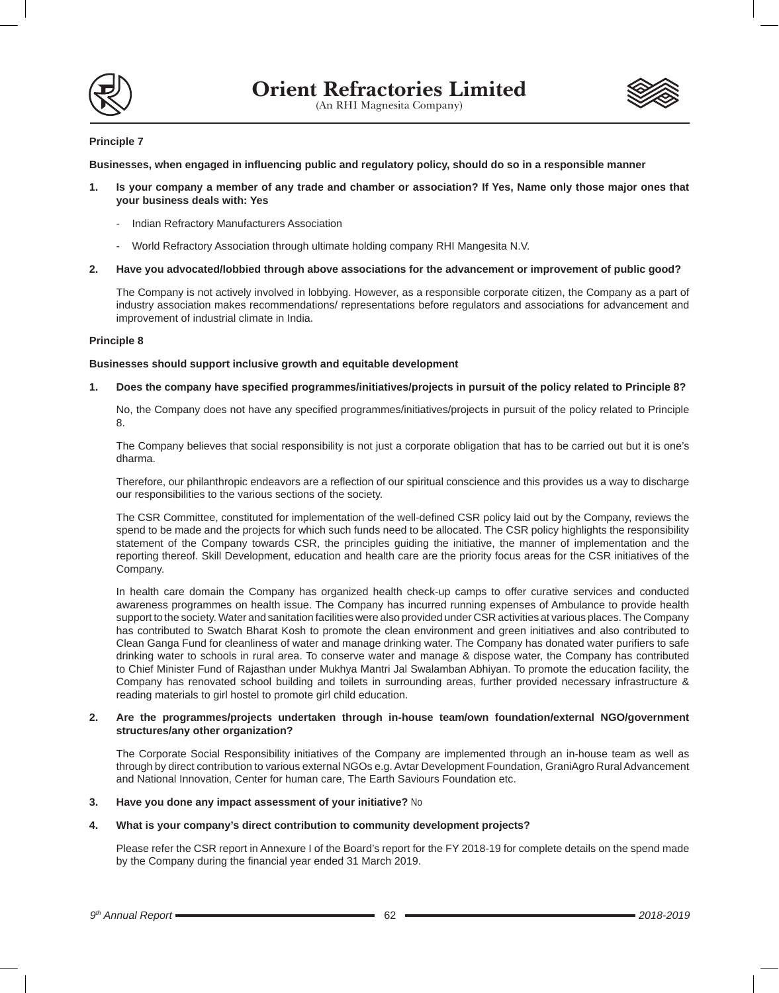



## **Principle 7**

**Businesses, when engaged in influencing public and regulatory policy, should do so in a responsible manner**

- **1. Is your company a member of any trade and chamber or association? If Yes, Name only those major ones that your business deals with: Yes**
	- Indian Refractory Manufacturers Association
	- World Refractory Association through ultimate holding company RHI Mangesita N.V.

### **2. Have you advocated/lobbied through above associations for the advancement or improvement of public good?**

The Company is not actively involved in lobbying. However, as a responsible corporate citizen, the Company as a part of industry association makes recommendations/ representations before regulators and associations for advancement and improvement of industrial climate in India.

## **Principle 8**

## **Businesses should support inclusive growth and equitable development**

## **1. Does the company have specified programmes/initiatives/projects in pursuit of the policy related to Principle 8?**

No, the Company does not have any specified programmes/initiatives/projects in pursuit of the policy related to Principle 8.

The Company believes that social responsibility is not just a corporate obligation that has to be carried out but it is one's dharma.

Therefore, our philanthropic endeavors are a reflection of our spiritual conscience and this provides us a way to discharge our responsibilities to the various sections of the society.

The CSR Committee, constituted for implementation of the well-defined CSR policy laid out by the Company, reviews the spend to be made and the projects for which such funds need to be allocated. The CSR policy highlights the responsibility statement of the Company towards CSR, the principles guiding the initiative, the manner of implementation and the reporting thereof. Skill Development, education and health care are the priority focus areas for the CSR initiatives of the Company.

In health care domain the Company has organized health check-up camps to offer curative services and conducted awareness programmes on health issue. The Company has incurred running expenses of Ambulance to provide health support to the society. Water and sanitation facilities were also provided under CSR activities at various places. The Company has contributed to Swatch Bharat Kosh to promote the clean environment and green initiatives and also contributed to Clean Ganga Fund for cleanliness of water and manage drinking water. The Company has donated water purifiers to safe drinking water to schools in rural area. To conserve water and manage & dispose water, the Company has contributed to Chief Minister Fund of Rajasthan under Mukhya Mantri Jal Swalamban Abhiyan. To promote the education facility, the Company has renovated school building and toilets in surrounding areas, further provided necessary infrastructure & reading materials to girl hostel to promote girl child education.

## **2. Are the programmes/projects undertaken through in-house team/own foundation/external NGO/government structures/any other organization?**

The Corporate Social Responsibility initiatives of the Company are implemented through an in-house team as well as through by direct contribution to various external NGOs e.g. Avtar Development Foundation, GraniAgro Rural Advancement and National Innovation, Center for human care, The Earth Saviours Foundation etc.

## **3. Have you done any impact assessment of your initiative?** No

## **4. What is your company's direct contribution to community development projects?**

Please refer the CSR report in Annexure I of the Board's report for the FY 2018-19 for complete details on the spend made by the Company during the financial year ended 31 March 2019.